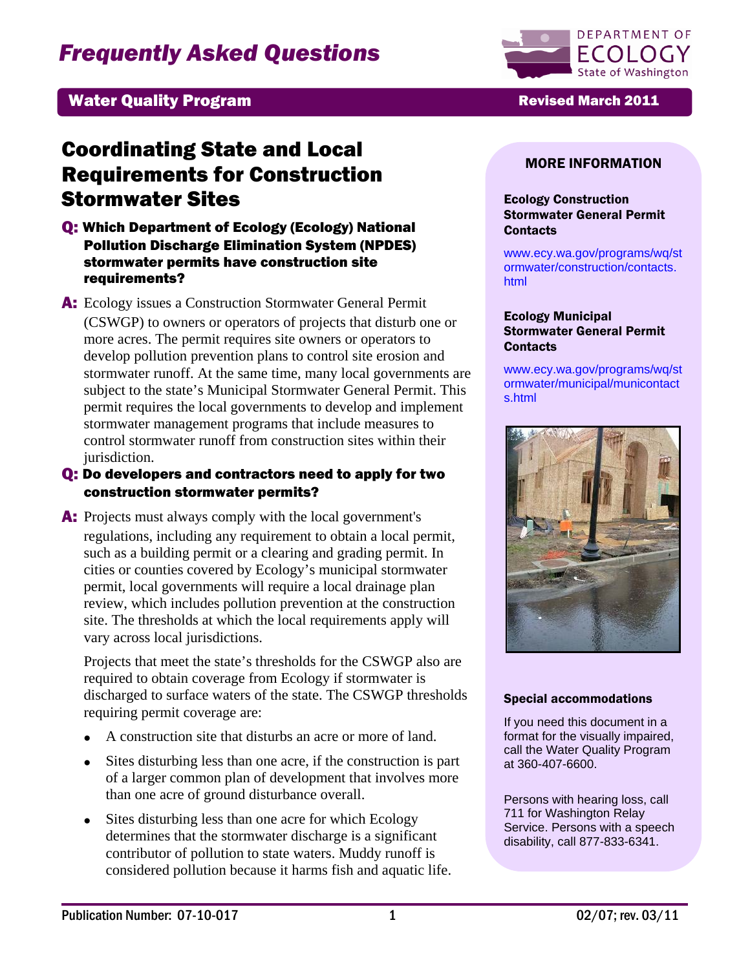# *Frequently Asked Questions*



## Water Quality Program **Revised March 2011**

## Coordinating State and Local Requirements for Construction Stormwater Sites

- Q: Which Department of Ecology (Ecology) National Pollution Discharge Elimination System (NPDES) stormwater permits have construction site requirements?
- A: Ecology issues a Construction Stormwater General Permit (CSWGP) to owners or operators of projects that disturb one or more acres. The permit requires site owners or operators to develop pollution prevention plans to control site erosion and stormwater runoff. At the same time, many local governments are subject to the state's Municipal Stormwater General Permit. This permit requires the local governments to develop and implement stormwater management programs that include measures to control stormwater runoff from construction sites within their jurisdiction.

### Q: Do developers and contractors need to apply for two construction stormwater permits?

A: Projects must always comply with the local government's regulations, including any requirement to obtain a local permit, such as a building permit or a clearing and grading permit. In cities or counties covered by Ecology's municipal stormwater permit, local governments will require a local drainage plan review, which includes pollution prevention at the construction site. The thresholds at which the local requirements apply will vary across local jurisdictions.

Projects that meet the state's thresholds for the CSWGP also are required to obtain coverage from Ecology if stormwater is discharged to surface waters of the state. The CSWGP thresholds requiring permit coverage are:

- A construction site that disturbs an acre or more of land.
- Sites disturbing less than one acre, if the construction is part of a larger common plan of development that involves more than one acre of ground disturbance overall.
- Sites disturbing less than one acre for which Ecology determines that the stormwater discharge is a significant contributor of pollution to state waters. Muddy runoff is considered pollution because it harms fish and aquatic life.

#### MORE INFORMATION

#### Ecology Construction Stormwater General Permit **Contacts**

[www.ecy.wa.gov/programs/wq/st](http://www.ecy.wa.gov/programs/wq/stormwater/construction/contacts.html) [ormwater/construction/contacts.](http://www.ecy.wa.gov/programs/wq/stormwater/construction/contacts.html) [html](http://www.ecy.wa.gov/programs/wq/stormwater/construction/contacts.html)

#### Ecology Municipal Stormwater General Permit **Contacts**

[www.ecy.wa.gov/programs/wq/st](http://www.ecy.wa.gov/programs/wq/stormwater/municipal/municontacts.html) [ormwater/municipal/municontact](http://www.ecy.wa.gov/programs/wq/stormwater/municipal/municontacts.html) [s.html](http://www.ecy.wa.gov/programs/wq/stormwater/municipal/municontacts.html)



#### Special accommodations

If you need this document in a format for the visually impaired, call the Water Quality Program at 360-407-6600.

Persons with hearing loss, call 711 for Washington Relay Service. Persons with a speech disability, call 877-833-6341.